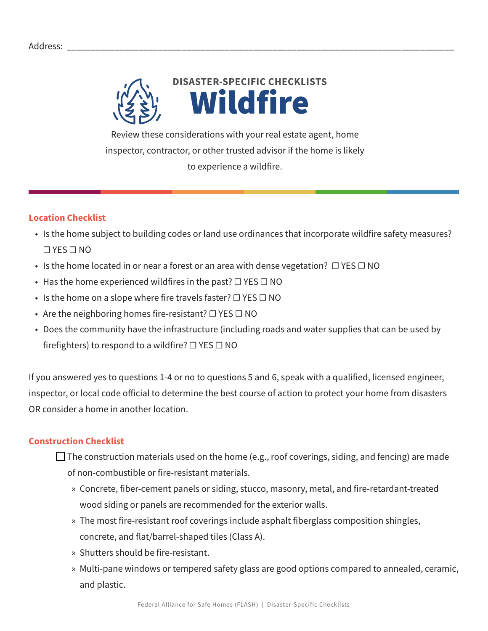

Review these considerations with your real estate agent, home inspector, contractor, or other trusted advisor if the home is likely to experience a wildfire.

## **Location Checklist**

- Is the home subject to building codes or land use ordinances that incorporate wildfire safety measures? ☐ YES ☐ NO
- Is the home located in or near a forest or an area with dense vegetation?  $\Box$  YES  $\Box$  NO
- Has the home experienced wildfires in the past?  $\Box$  YES  $\Box$  NO
- Is the home on a slope where fire travels faster?  $\Box$  YES  $\Box$  NO
- Are the neighboring homes fire-resistant?  $\Box$  YES  $\Box$  NO
- Does the community have the infrastructure (including roads and water supplies that can be used by firefighters) to respond to a wildfire?  $\Box$  YES  $\Box$  NO

If you answered yes to questions 1-4 or no to questions 5 and 6, speak with a qualified, licensed engineer, inspector, or local code official to determine the best course of action to protect your home from disasters OR consider a home in another location.

## **Construction Checklist**

 $\Box$  The construction materials used on the home (e.g., roof coverings, siding, and fencing) are made of non-combustible or fire-resistant materials.

- » Concrete, fiber-cement panels or siding, stucco, masonry, metal, and fire-retardant-treated wood siding or panels are recommended for the exterior walls.
- » The most fire-resistant roof coverings include asphalt fiberglass composition shingles, concrete, and flat/barrel-shaped tiles (Class A).
- » Shutters should be fire-resistant.
- » Multi-pane windows or tempered safety glass are good options compared to annealed, ceramic, and plastic.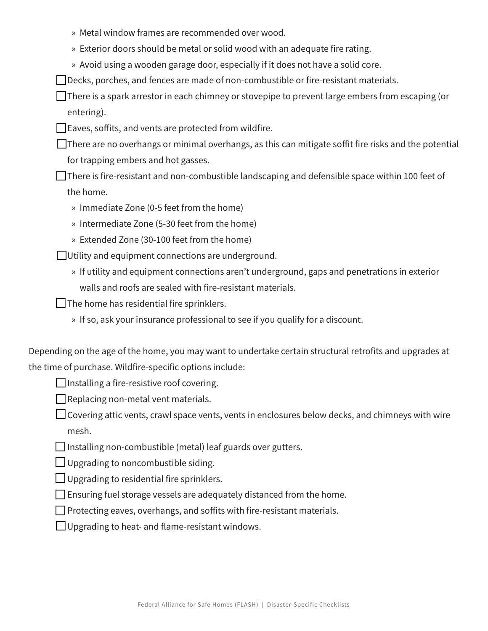- » Metal window frames are recommended over wood.
- » Exterior doors should be metal or solid wood with an adequate fire rating.
- » Avoid using a wooden garage door, especially if it does not have a solid core.

 $\Box$  Decks, porches, and fences are made of non-combustible or fire-resistant materials.

 $\Box$  There is a spark arrestor in each chimney or stovepipe to prevent large embers from escaping (or entering).

 $\Box$  Eaves, soffits, and vents are protected from wildfire.

 $\Box$  There are no overhangs or minimal overhangs, as this can mitigate soffit fire risks and the potential for trapping embers and hot gasses.

 $\Box$  There is fire-resistant and non-combustible landscaping and defensible space within 100 feet of the home.

- » Immediate Zone (0-5 feet from the home)
- » Intermediate Zone (5-30 feet from the home)
- » Extended Zone (30-100 feet from the home)

 $\Box$  Utility and equipment connections are underground.

» If utility and equipment connections aren't underground, gaps and penetrations in exterior walls and roofs are sealed with fire-resistant materials.

 $\Box$  The home has residential fire sprinklers.

» If so, ask your insurance professional to see if you qualify for a discount.

Depending on the age of the home, you may want to undertake certain structural retrofits and upgrades at the time of purchase. Wildfire-specific options include:

 $\Box$  Installing a fire-resistive roof covering.

 $\Box$  Replacing non-metal vent materials.

 $\Box$  Covering attic vents, crawl space vents, vents in enclosures below decks, and chimneys with wire mesh.

 $\Box$  Installing non-combustible (metal) leaf guards over gutters.

 $\Box$  Upgrading to noncombustible siding.

 $\Box$  Upgrading to residential fire sprinklers.

 $\Box$  Ensuring fuel storage vessels are adequately distanced from the home.

 $\Box$  Protecting eaves, overhangs, and soffits with fire-resistant materials.

 $\Box$  Upgrading to heat- and flame-resistant windows.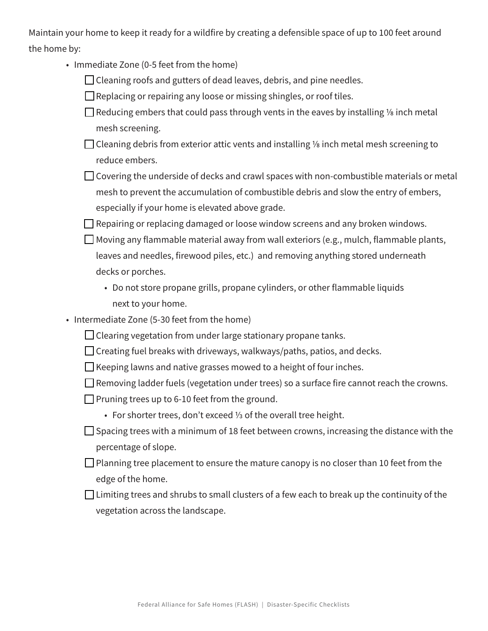Maintain your home to keep it ready for a wildfire by creating a defensible space of up to 100 feet around the home by:

- Immediate Zone (0-5 feet from the home)
	- $\Box$  Cleaning roofs and gutters of dead leaves, debris, and pine needles.
	- $\Box$  Replacing or repairing any loose or missing shingles, or roof tiles.
	- $\Box$  Reducing embers that could pass through vents in the eaves by installing <sup>1/8</sup> inch metal mesh screening.
	- $\Box$  Cleaning debris from exterior attic vents and installing  $\frac{1}{2}$  inch metal mesh screening to reduce embers.
	- $\Box$  Covering the underside of decks and crawl spaces with non-combustible materials or metal mesh to prevent the accumulation of combustible debris and slow the entry of embers, especially if your home is elevated above grade.

 $\Box$  Repairing or replacing damaged or loose window screens and any broken windows.

 $\Box$  Moving any flammable material away from wall exteriors (e.g., mulch, flammable plants, leaves and needles, firewood piles, etc.) and removing anything stored underneath decks or porches.

• Do not store propane grills, propane cylinders, or other flammable liquids next to your home.

- Intermediate Zone (5-30 feet from the home)
	- $\Box$  Clearing vegetation from under large stationary propane tanks.
	- $\Box$  Creating fuel breaks with driveways, walkways/paths, patios, and decks.
	- $\Box$  Keeping lawns and native grasses mowed to a height of four inches.
	- $\Box$  Removing ladder fuels (vegetation under trees) so a surface fire cannot reach the crowns.
	- $\Box$  Pruning trees up to 6-10 feet from the ground.
		- For shorter trees, don't exceed ⅓ of the overall tree height.
	- $\Box$  Spacing trees with a minimum of 18 feet between crowns, increasing the distance with the percentage of slope.
	- $\Box$  Planning tree placement to ensure the mature canopy is no closer than 10 feet from the edge of the home.
	- $\Box$  Limiting trees and shrubs to small clusters of a few each to break up the continuity of the vegetation across the landscape.